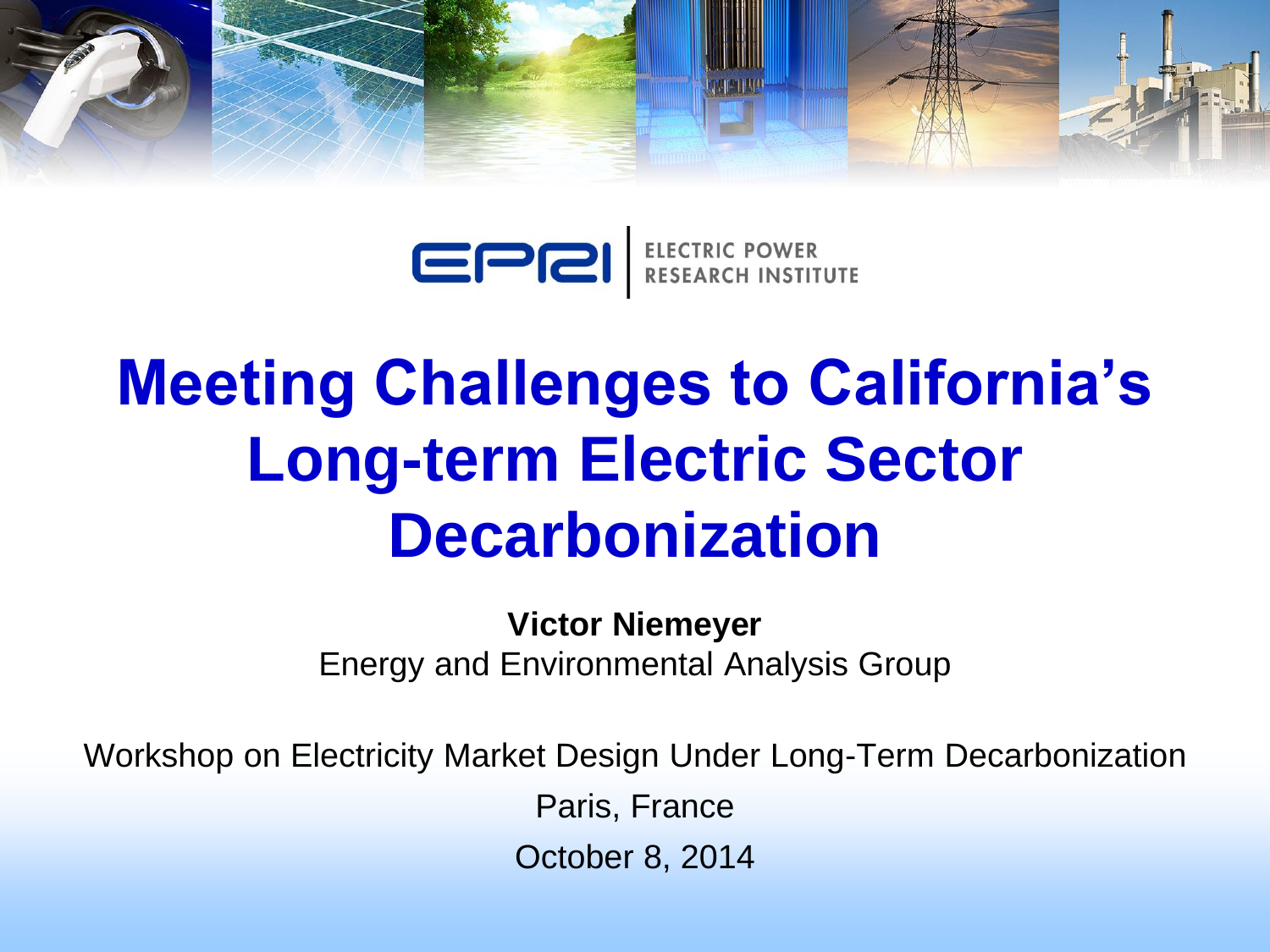

EPRI ELECTRIC POWER

# **Meeting Challenges to California's Long-term Electric Sector Decarbonization**

**Victor Niemeyer** Energy and Environmental Analysis Group

Workshop on Electricity Market Design Under Long-Term Decarbonization

Paris, France

October 8, 2014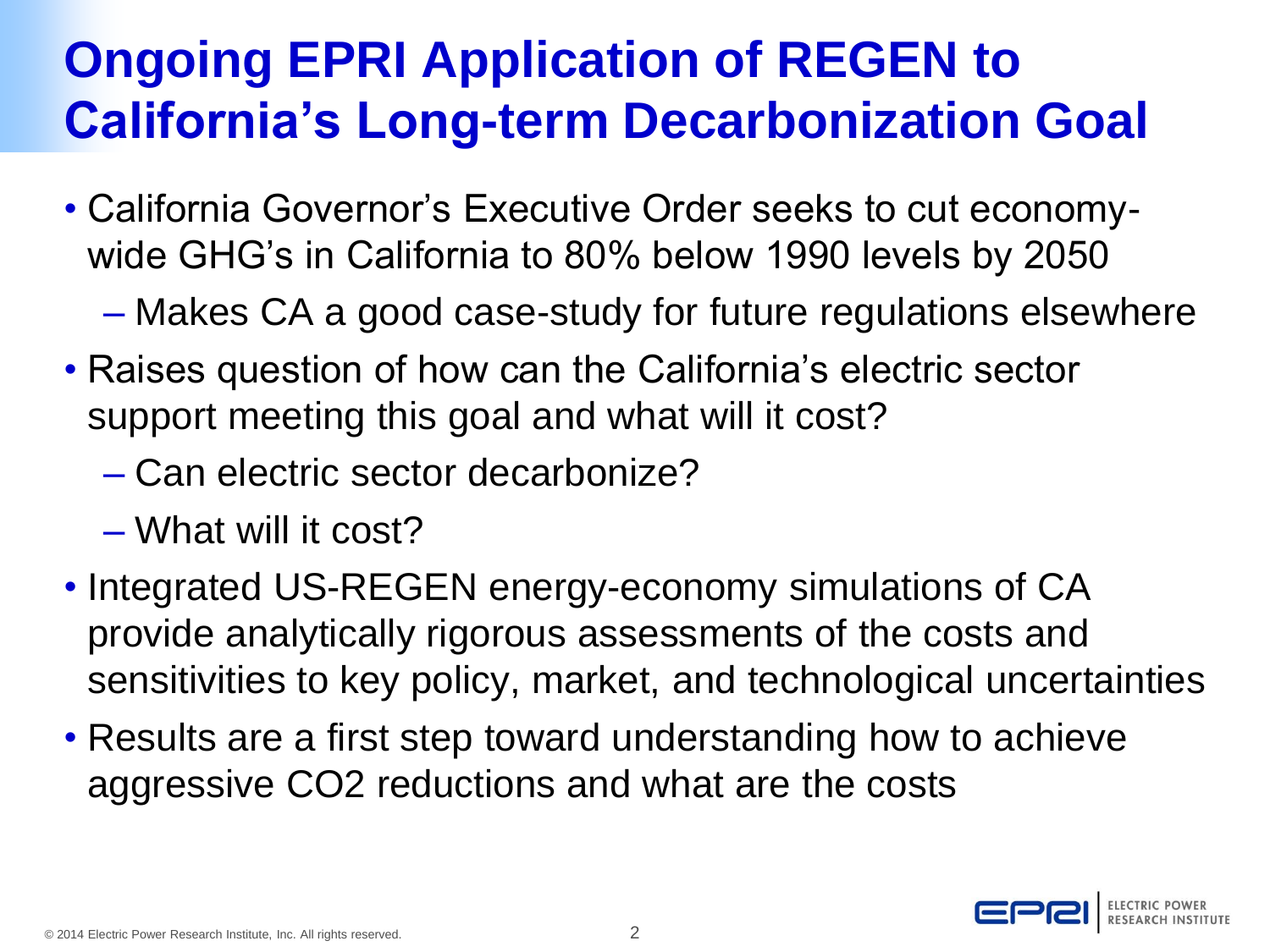### **Ongoing EPRI Application of REGEN to California's Long-term Decarbonization Goal**

- California Governor's Executive Order seeks to cut economywide GHG's in California to 80% below 1990 levels by 2050
	- Makes CA a good case-study for future regulations elsewhere
- Raises question of how can the California's electric sector support meeting this goal and what will it cost?
	- Can electric sector decarbonize?
	- What will it cost?
- Integrated US-REGEN energy-economy simulations of CA provide analytically rigorous assessments of the costs and sensitivities to key policy, market, and technological uncertainties
- Results are a first step toward understanding how to achieve aggressive CO2 reductions and what are the costs

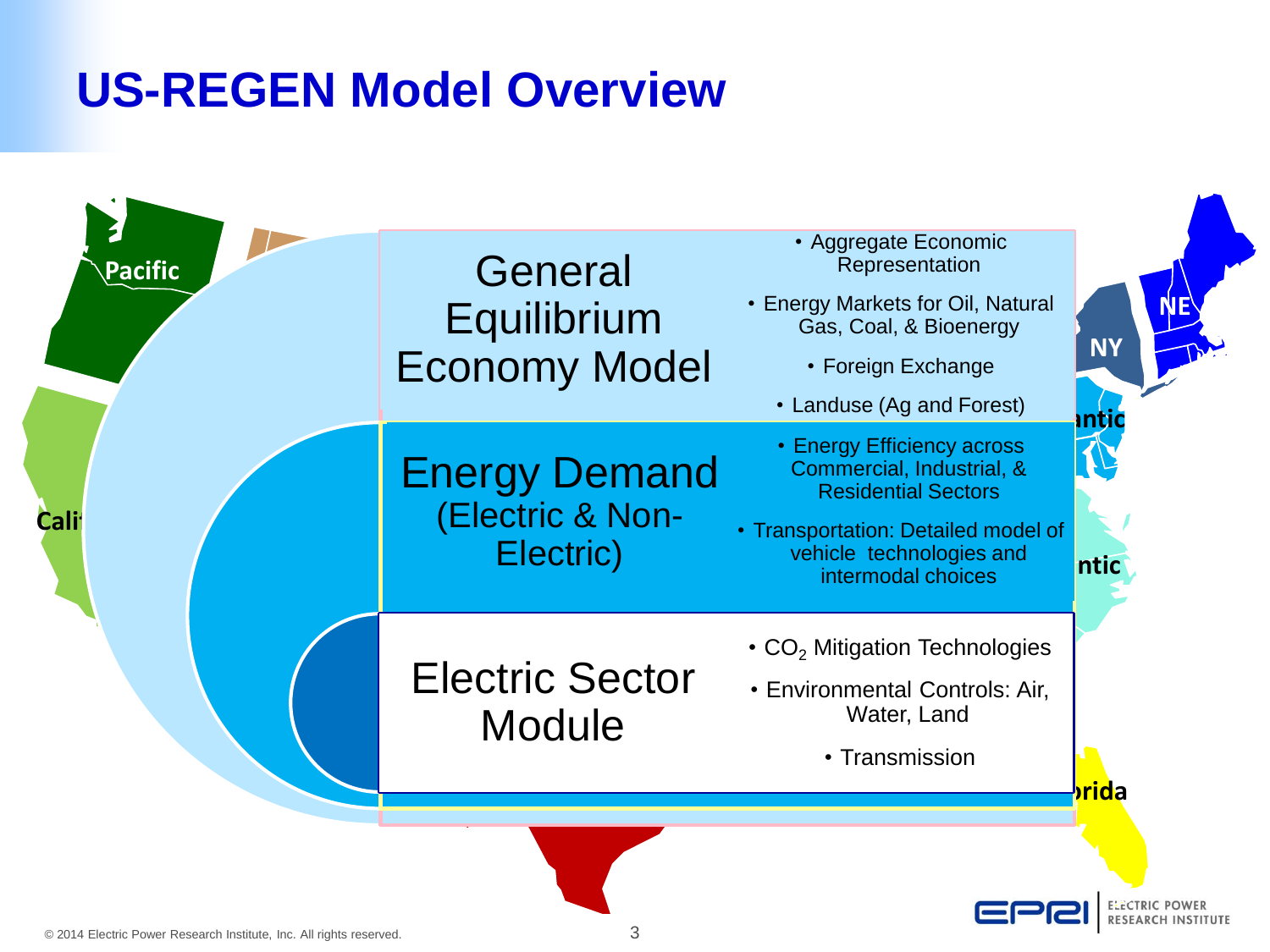### **US-REGEN Model Overview**

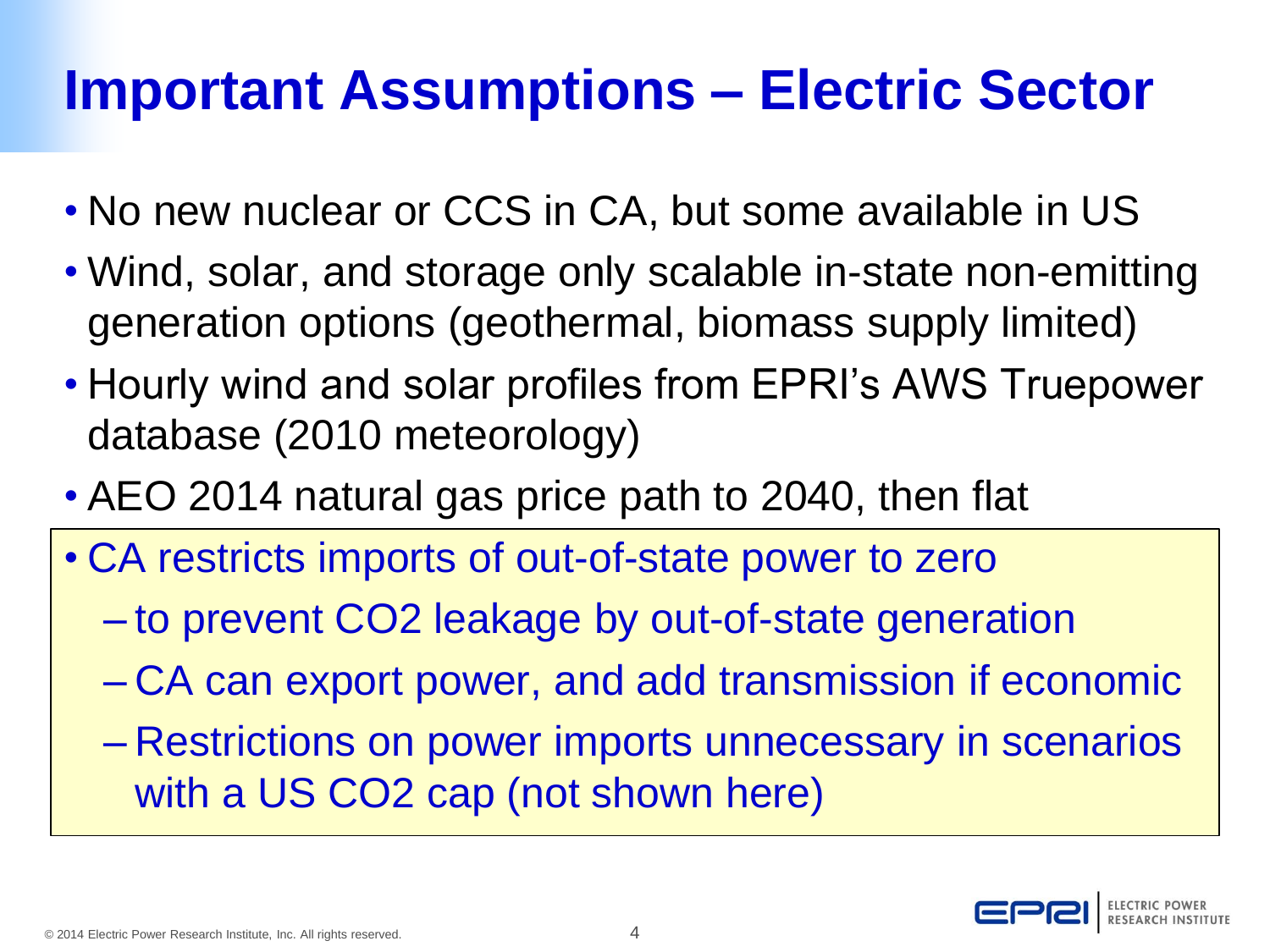## **Important Assumptions – Electric Sector**

- No new nuclear or CCS in CA, but some available in US
- Wind, solar, and storage only scalable in-state non-emitting generation options (geothermal, biomass supply limited)
- Hourly wind and solar profiles from EPRI's AWS Truepower database (2010 meteorology)
- AEO 2014 natural gas price path to 2040, then flat
- CA restricts imports of out-of-state power to zero
	- to prevent CO2 leakage by out-of-state generation
	- CA can export power, and add transmission if economic
	- Restrictions on power imports unnecessary in scenarios with a US CO2 cap (not shown here)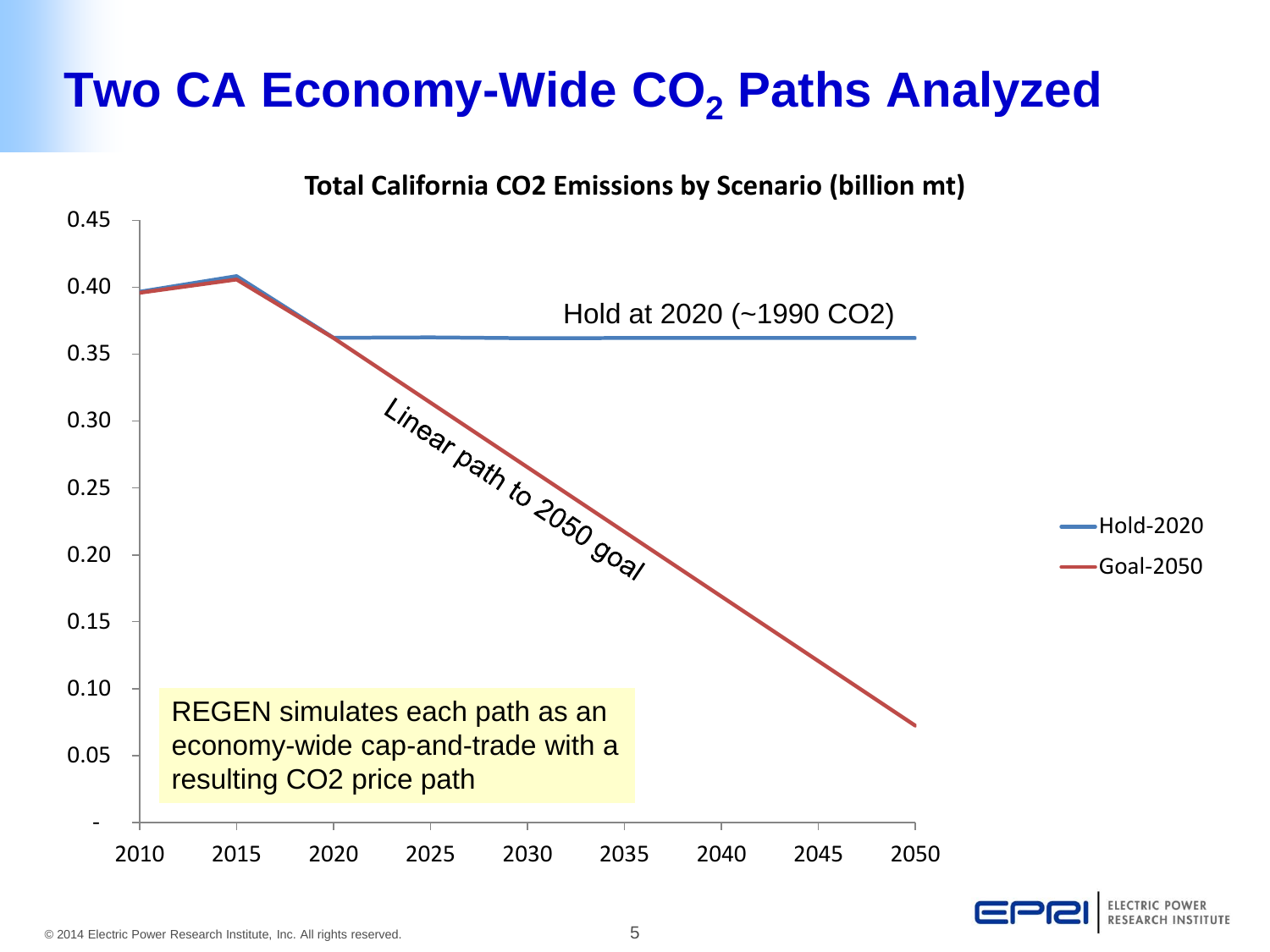### **Two CA Economy-Wide CO<sup>2</sup> Paths Analyzed**

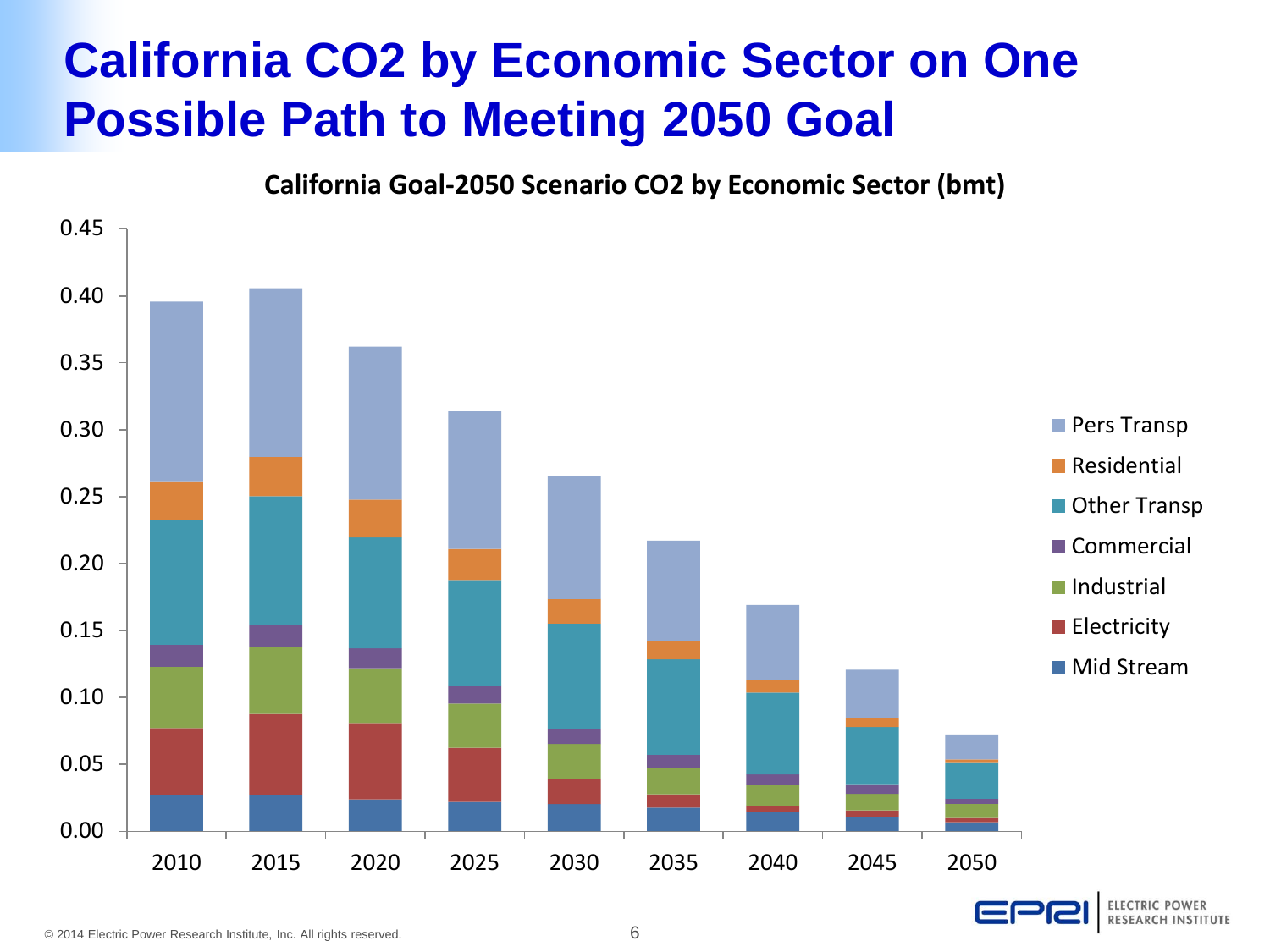### **California CO2 by Economic Sector on One Possible Path to Meeting 2050 Goal**

**California Goal-2050 Scenario CO2 by Economic Sector (bmt)**

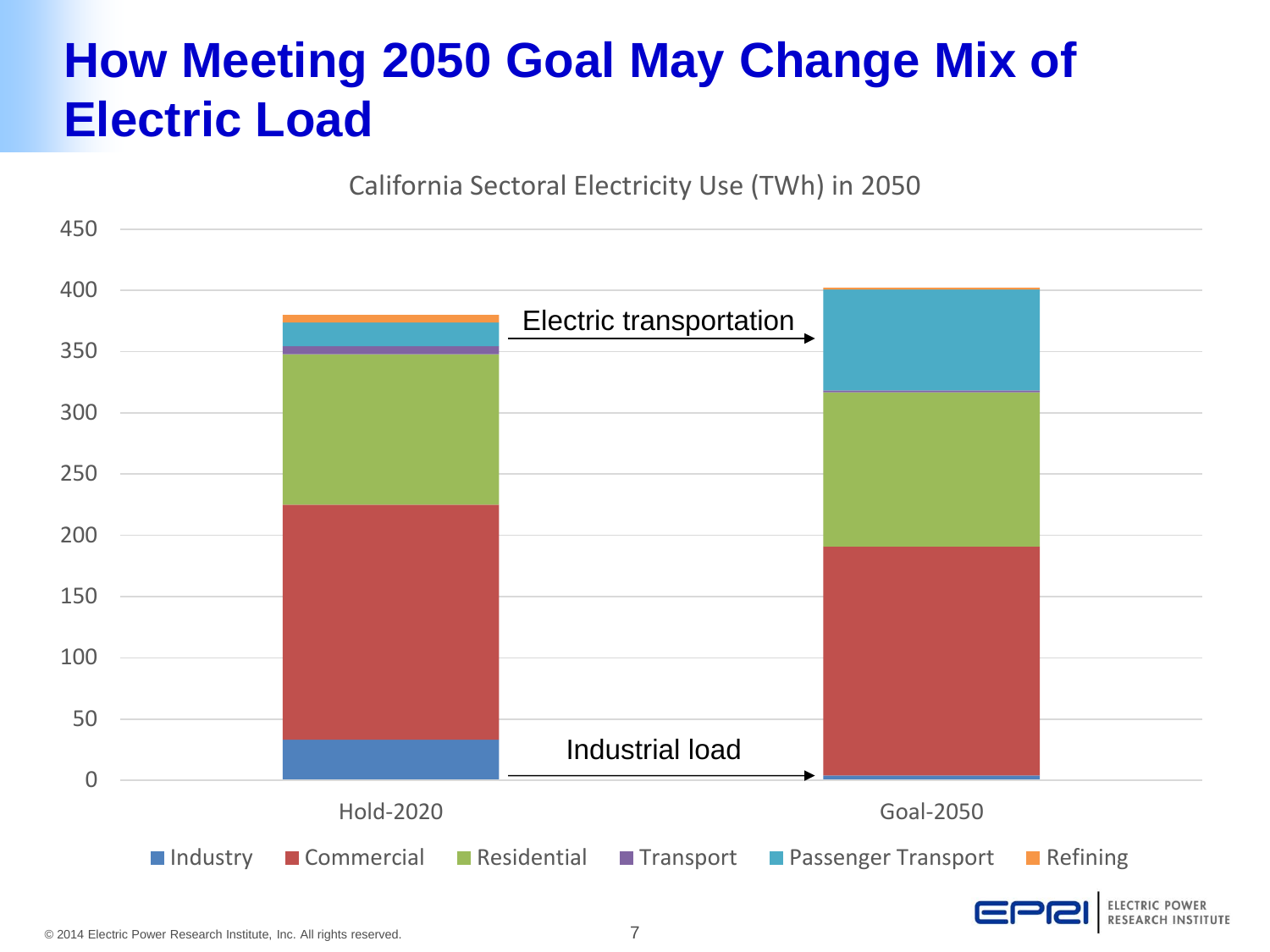### **How Meeting 2050 Goal May Change Mix of Electric Load**

California Sectoral Electricity Use (TWh) in 2050

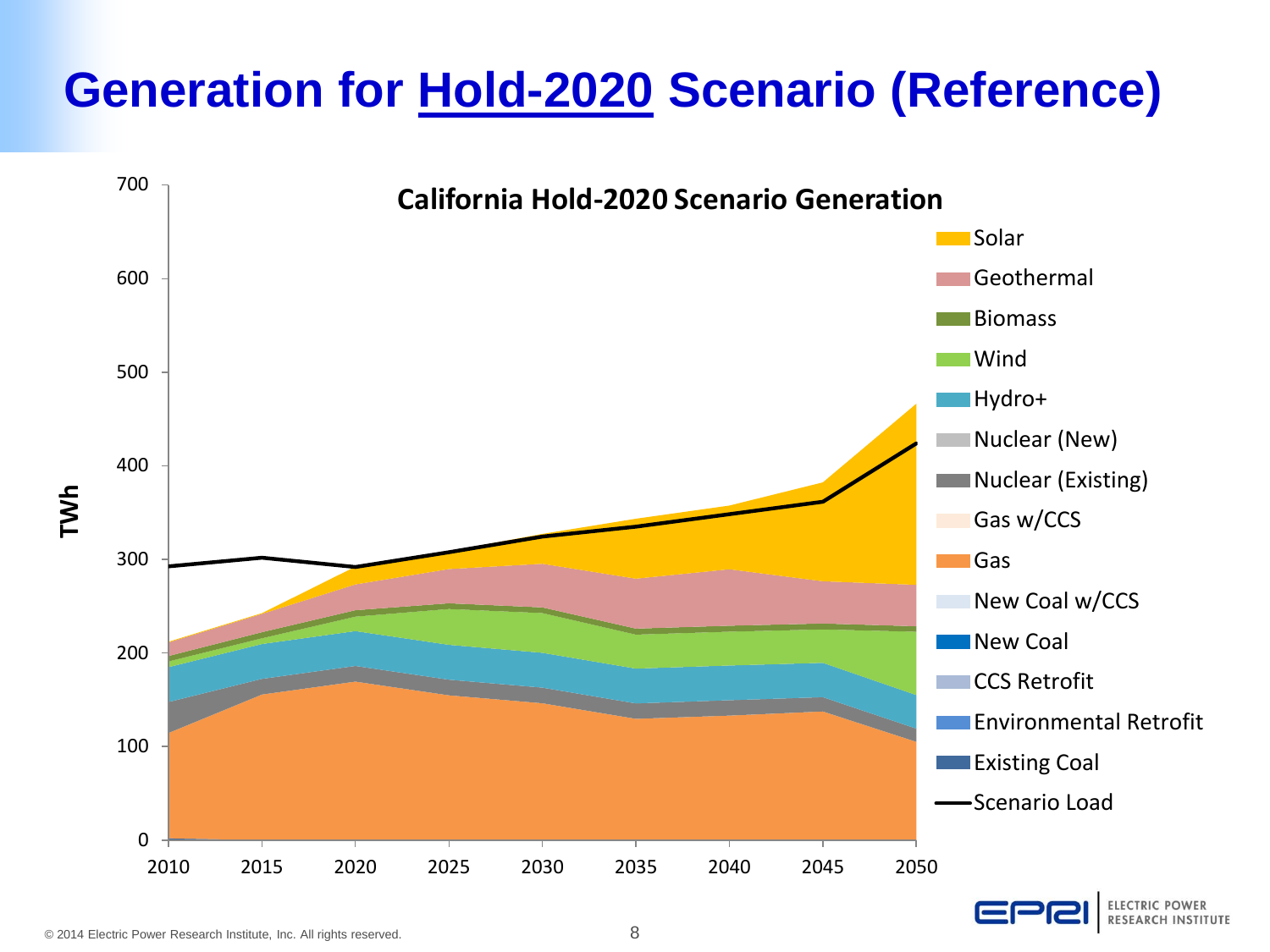### **Generation for Hold-2020 Scenario (Reference)**

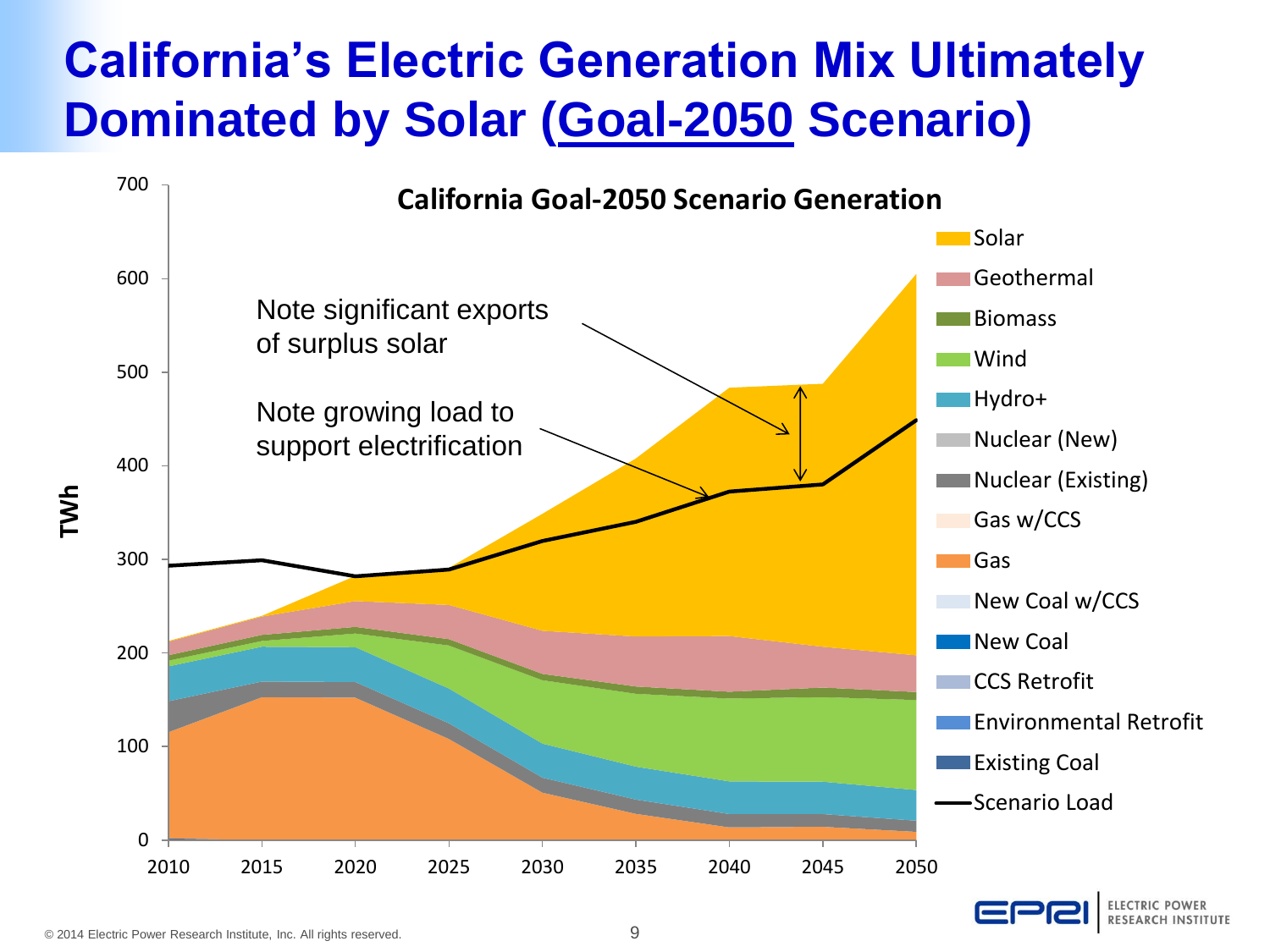### **California's Electric Generation Mix Ultimately Dominated by Solar (Goal-2050 Scenario)**

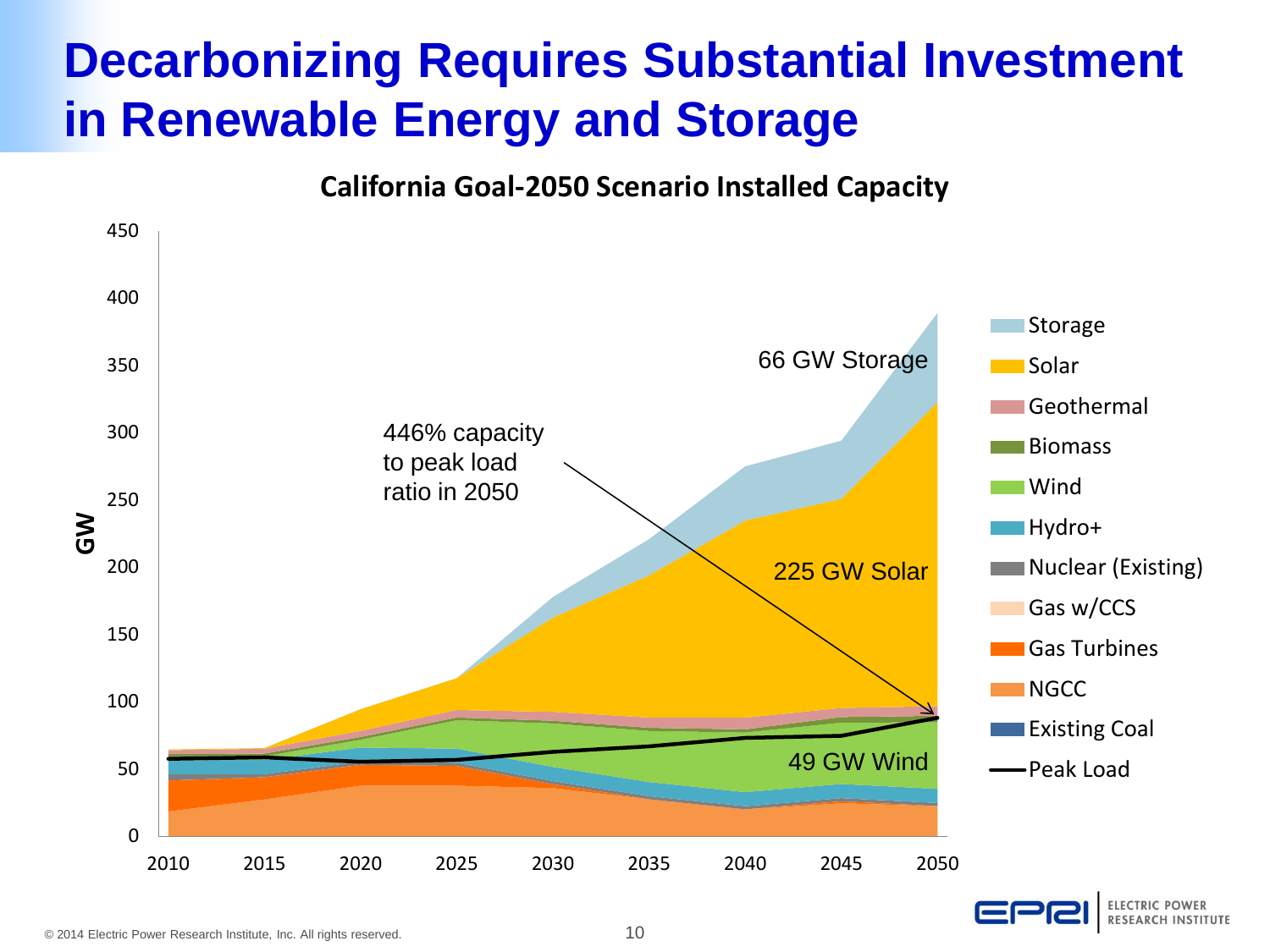### **Decarbonizing Requires Substantial Investment in Renewable Energy and Storage**

**California Goal-2050 Scenario Installed Capacity**



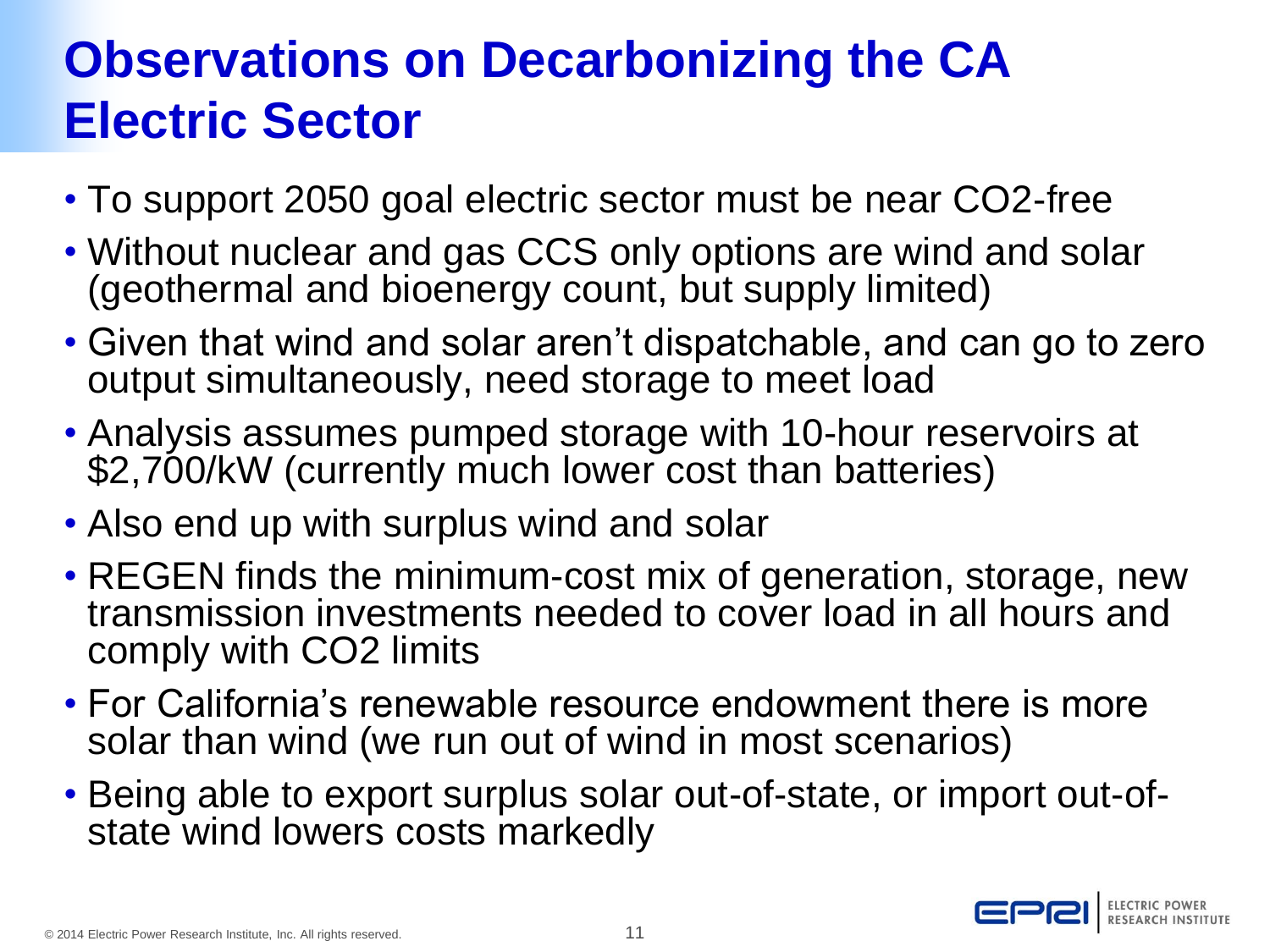### **Observations on Decarbonizing the CA Electric Sector**

- To support 2050 goal electric sector must be near CO2-free
- Without nuclear and gas CCS only options are wind and solar (geothermal and bioenergy count, but supply limited)
- Given that wind and solar aren't dispatchable, and can go to zero output simultaneously, need storage to meet load
- Analysis assumes pumped storage with 10-hour reservoirs at \$2,700/kW (currently much lower cost than batteries)
- Also end up with surplus wind and solar
- REGEN finds the minimum-cost mix of generation, storage, new transmission investments needed to cover load in all hours and comply with CO2 limits
- For California's renewable resource endowment there is more solar than wind (we run out of wind in most scenarios)
- Being able to export surplus solar out-of-state, or import out-ofstate wind lowers costs markedly

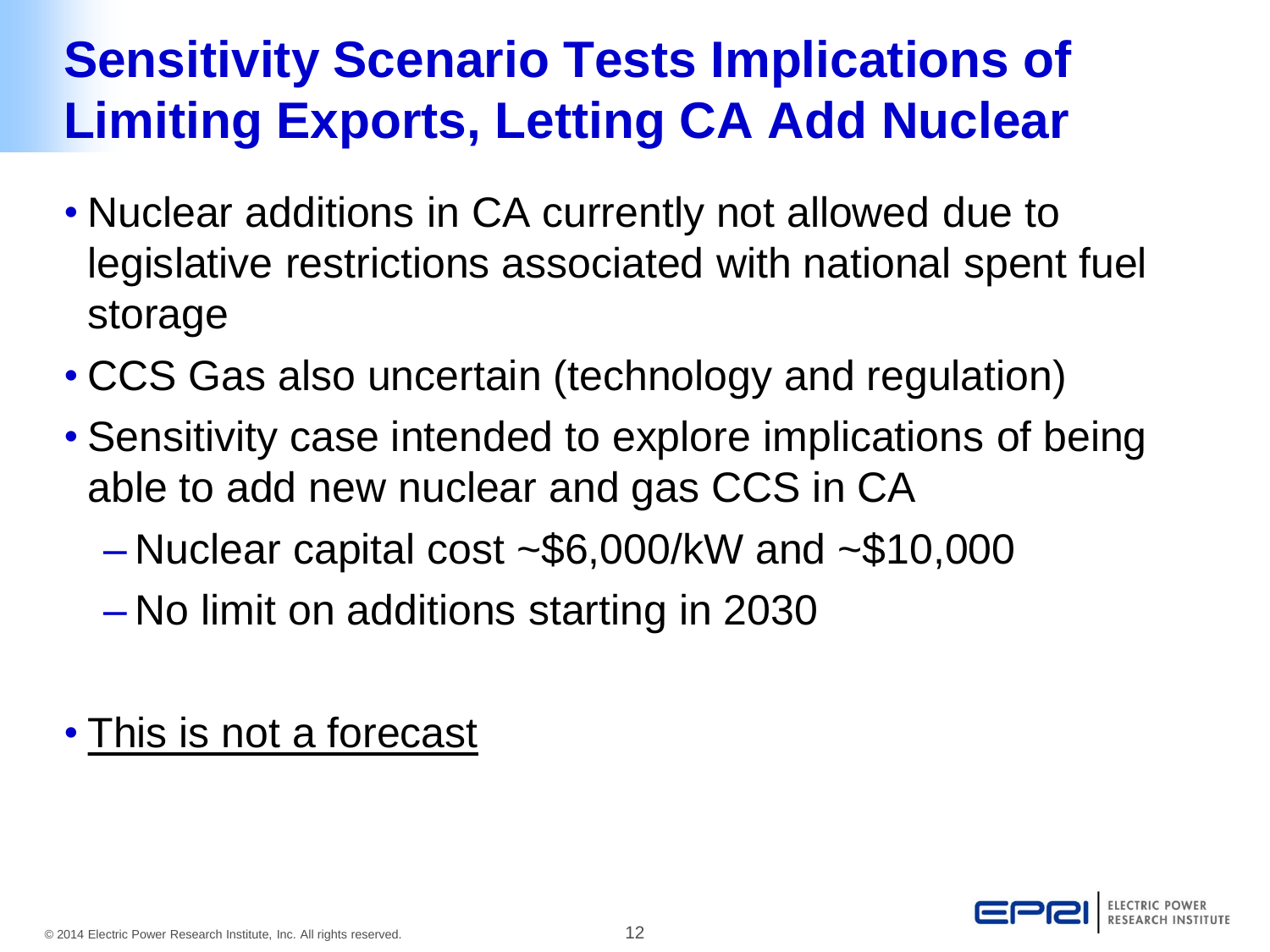## **Sensitivity Scenario Tests Implications of Limiting Exports, Letting CA Add Nuclear**

- Nuclear additions in CA currently not allowed due to legislative restrictions associated with national spent fuel storage
- CCS Gas also uncertain (technology and regulation)
- Sensitivity case intended to explore implications of being able to add new nuclear and gas CCS in CA
	- $-$  Nuclear capital cost  $\sim$  \$6,000/kW and  $\sim$  \$10,000
	- No limit on additions starting in 2030

### • This is not a forecast

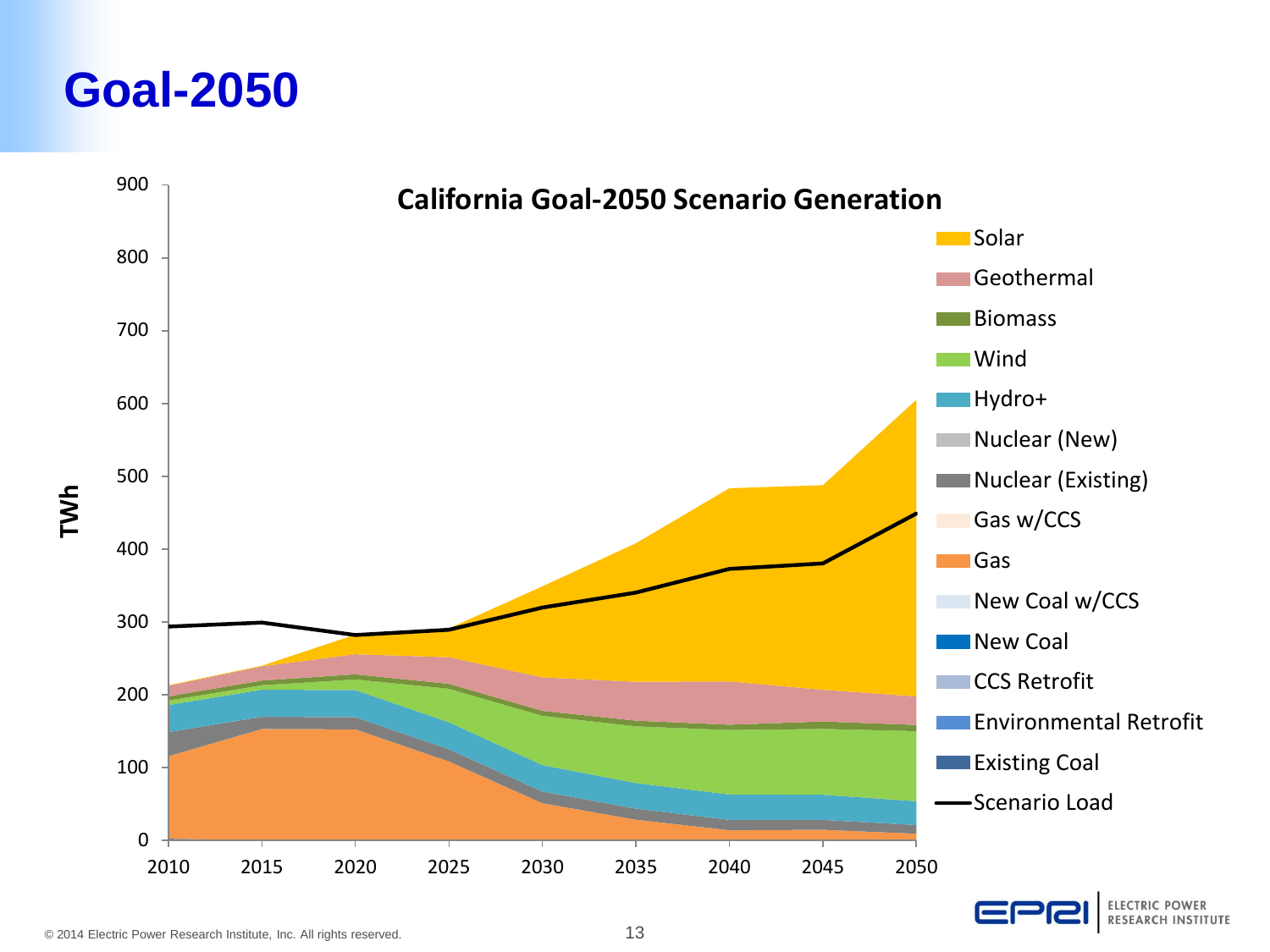### **Goal-2050**

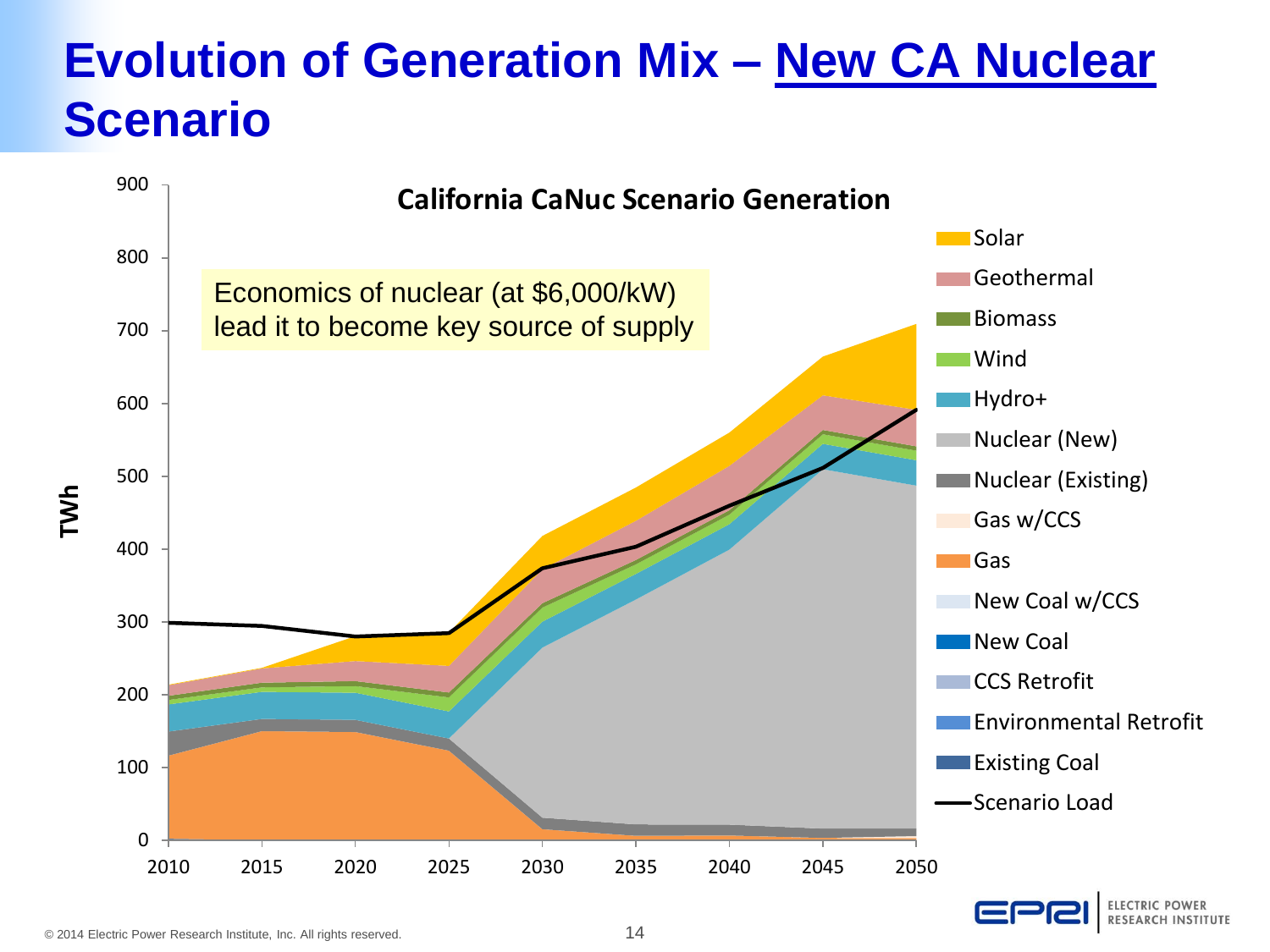### **Evolution of Generation Mix – New CA Nuclear Scenario**

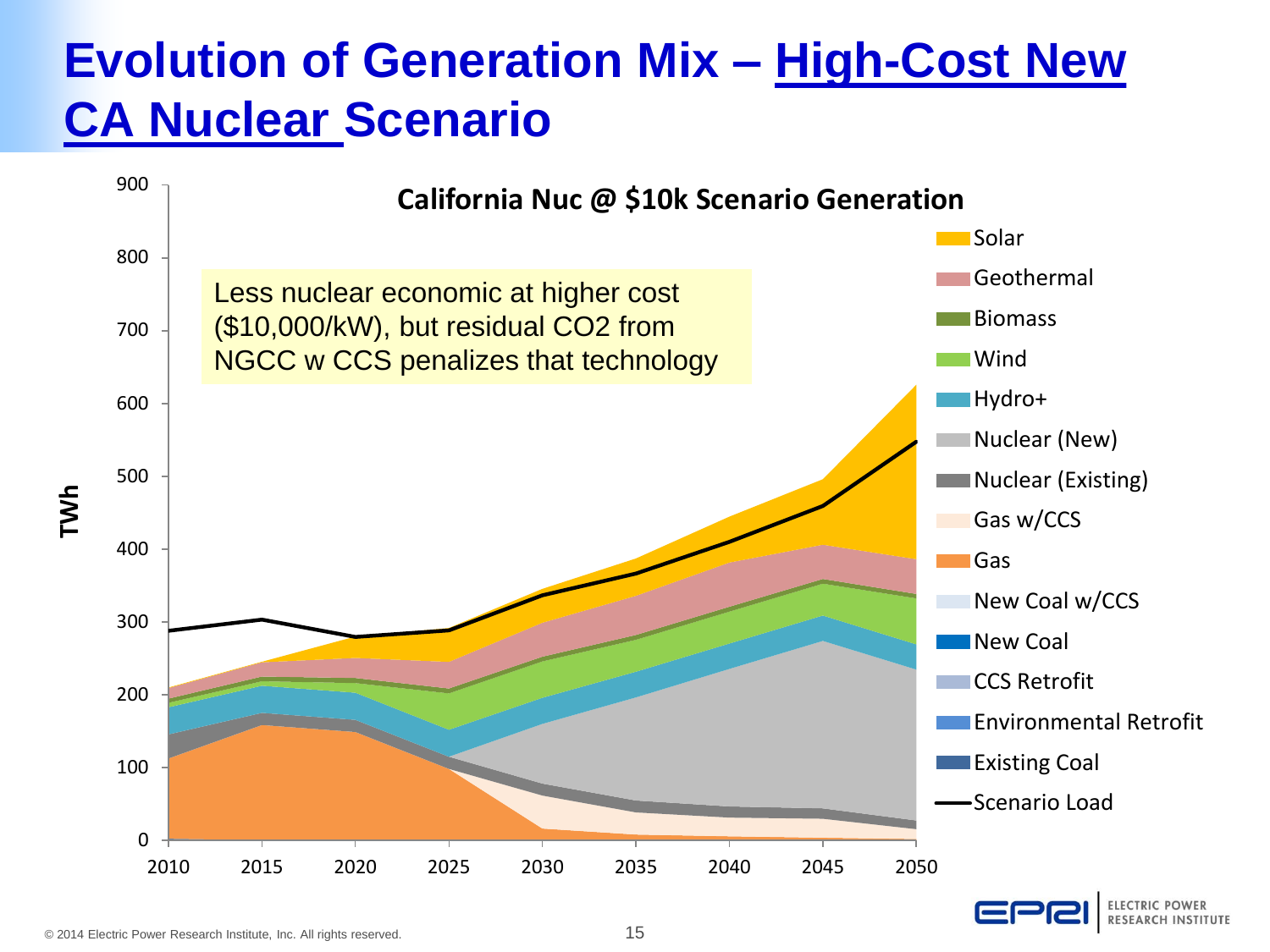### **Evolution of Generation Mix – High-Cost New CA Nuclear Scenario**

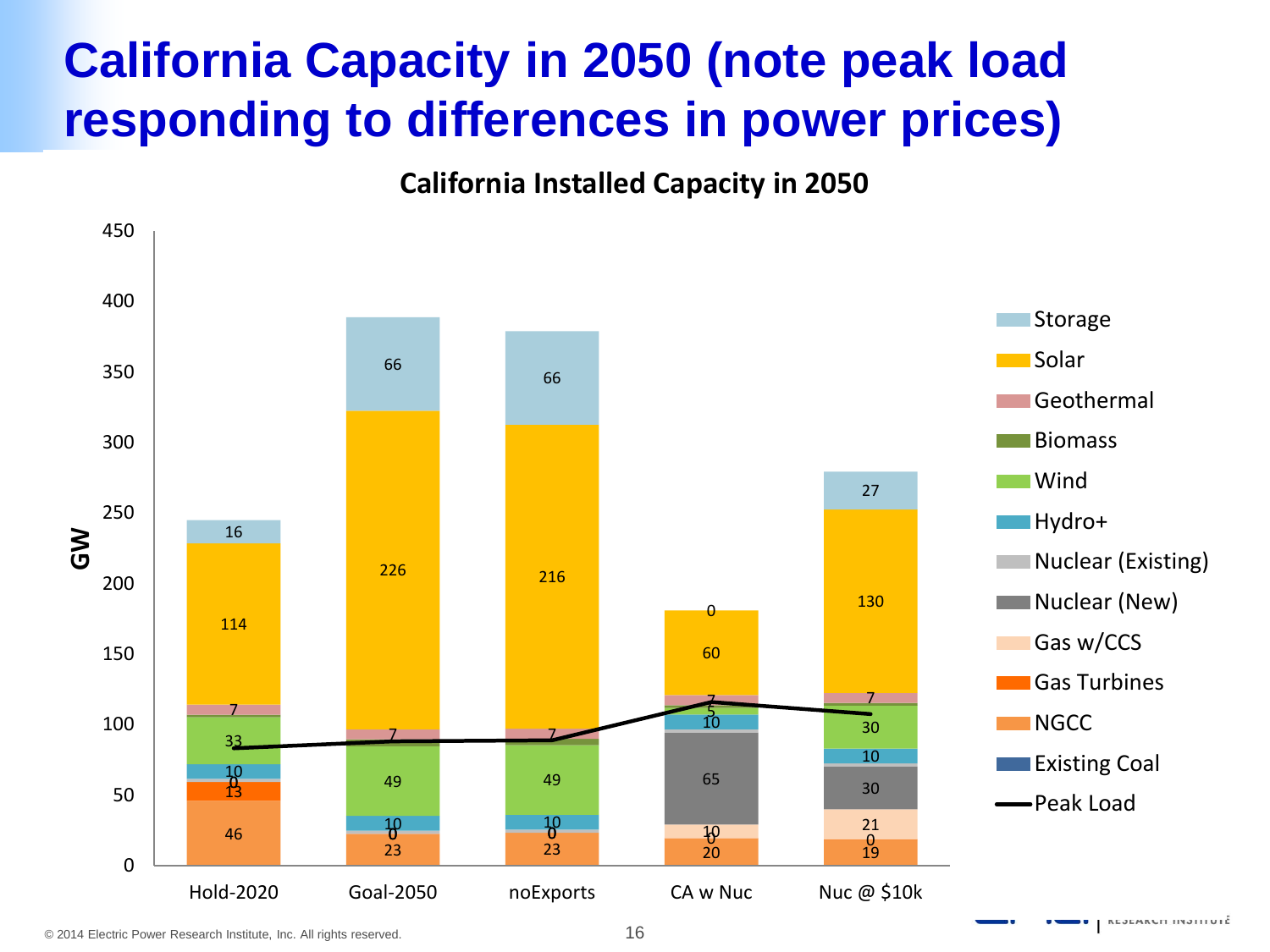### **California Capacity in 2050 (note peak load responding to differences in power prices)**

#### **California Installed Capacity in 2050**

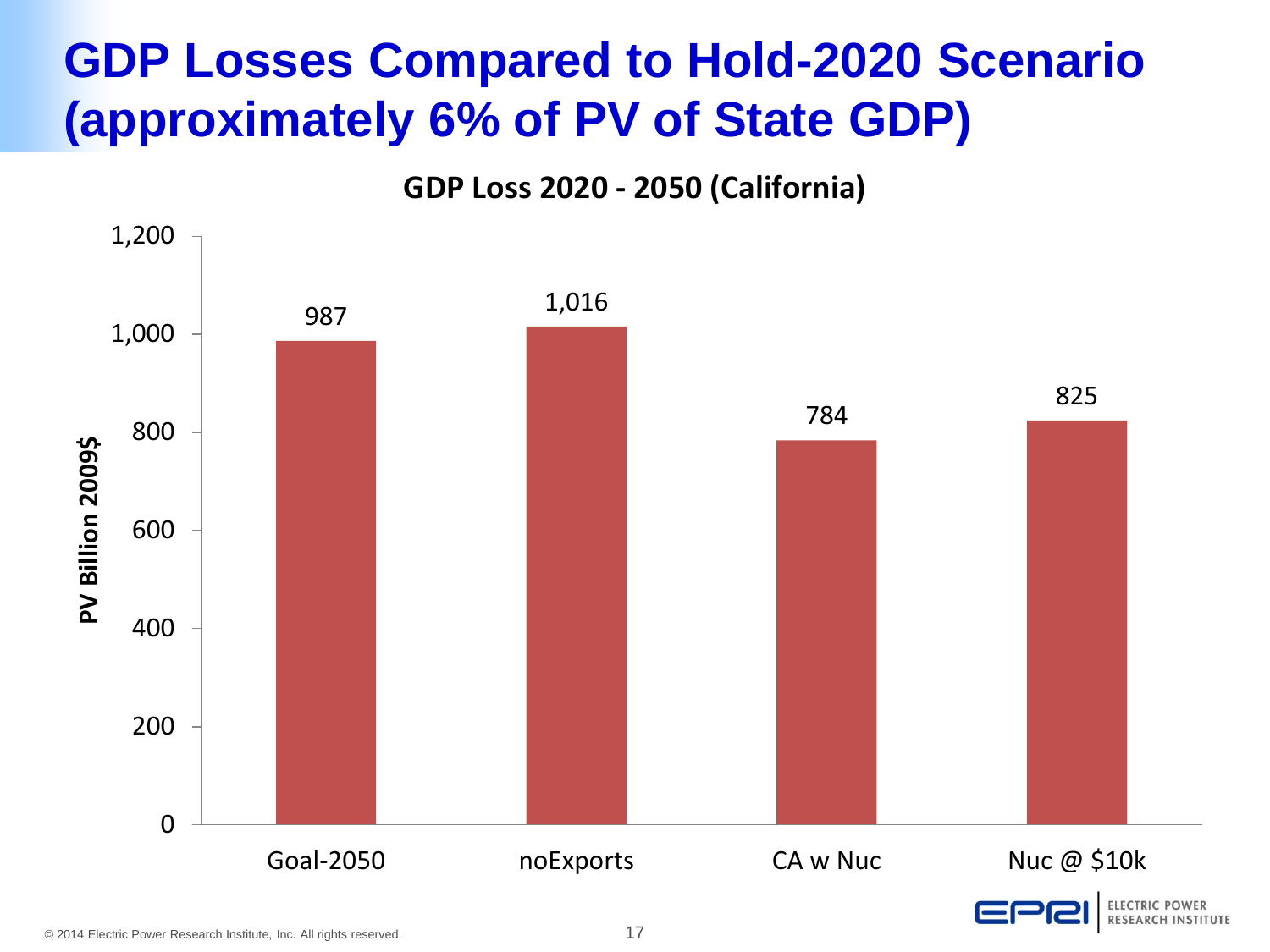### **GDP Losses Compared to Hold-2020 Scenario (approximately 6% of PV of State GDP)**

**GDP Loss 2020 - 2050 (California)**

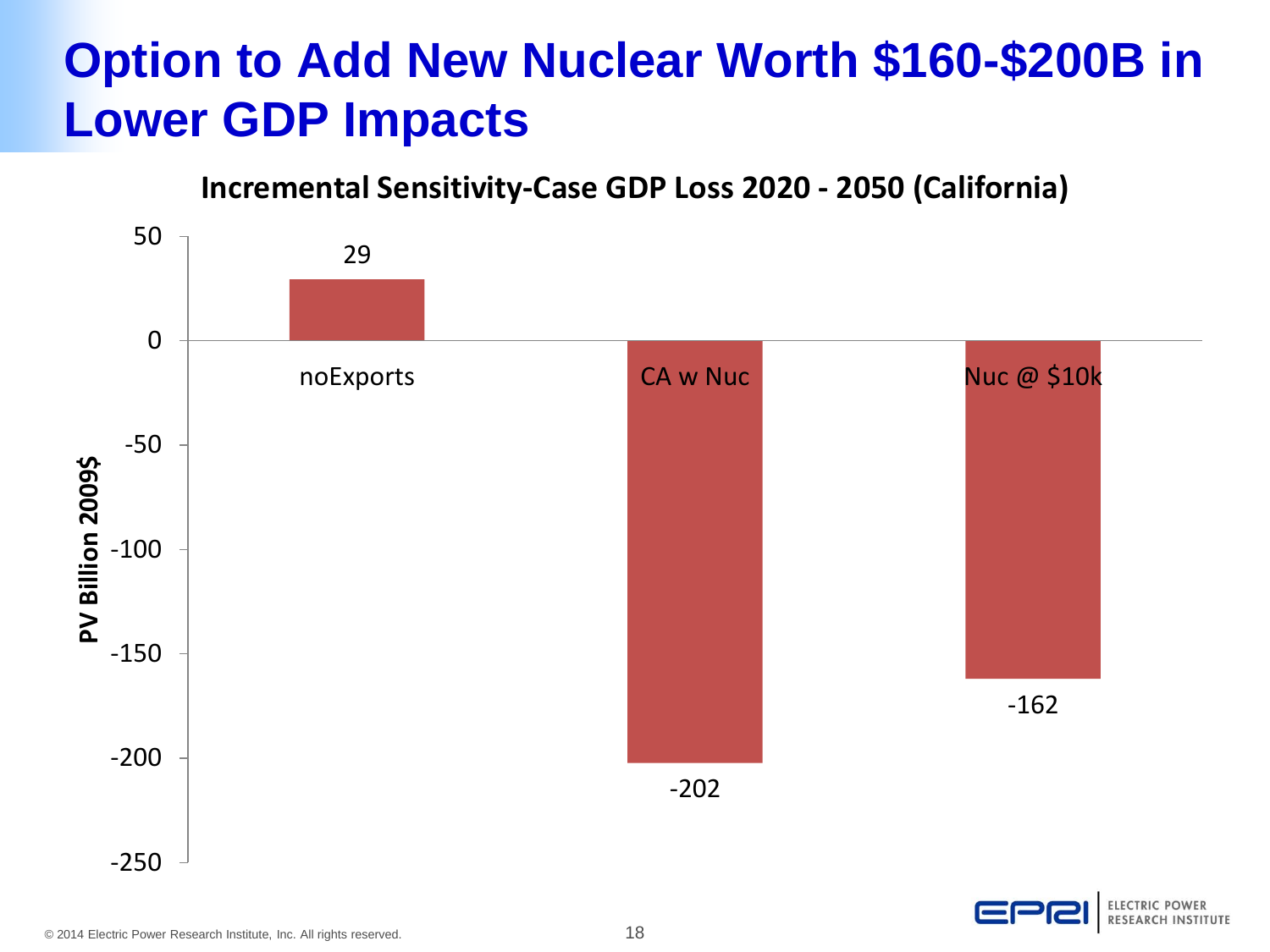### **Option to Add New Nuclear Worth \$160-\$200B in Lower GDP Impacts**

#### **Incremental Sensitivity-Case GDP Loss 2020 - 2050 (California)**

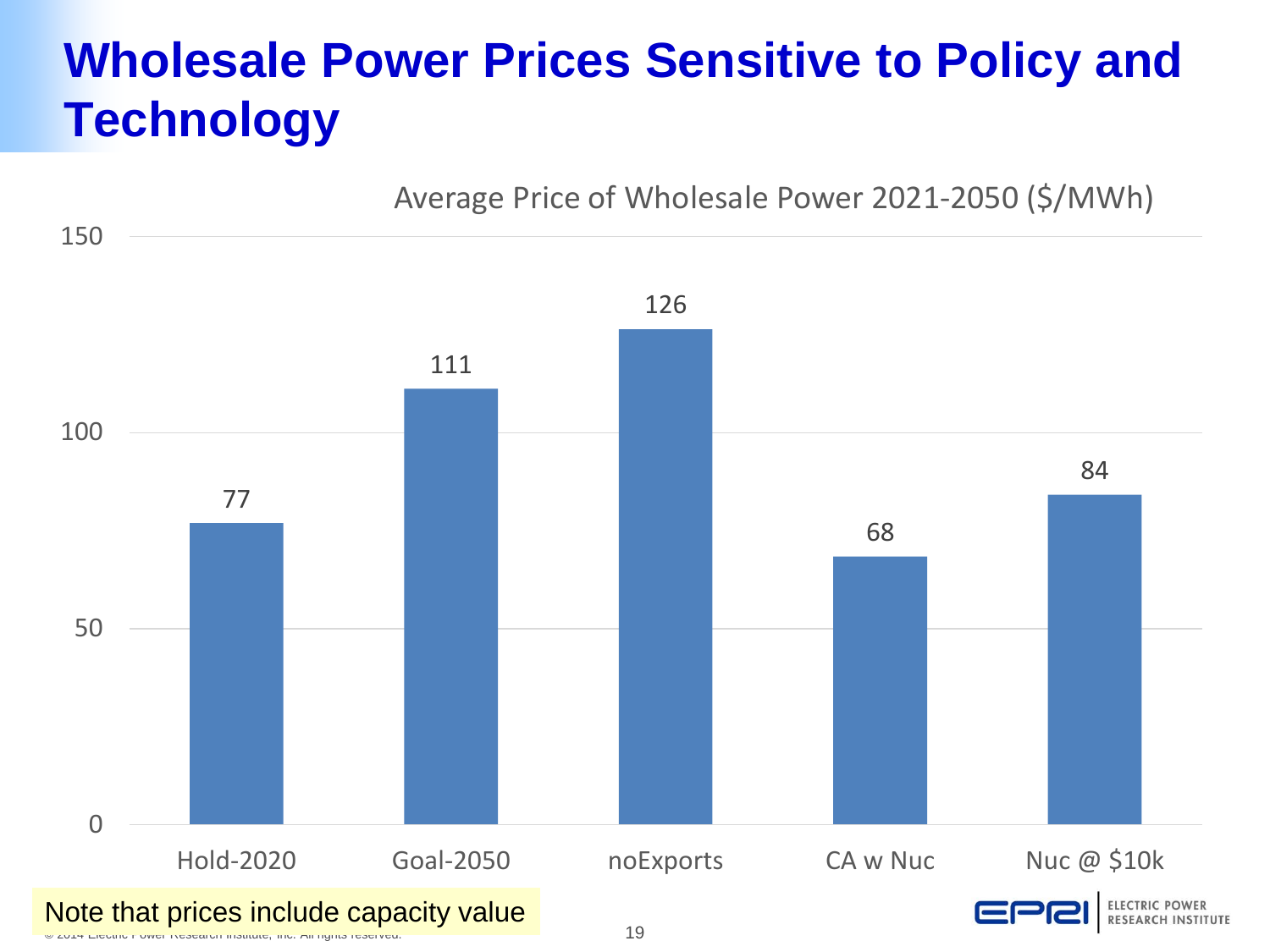### **Wholesale Power Prices Sensitive to Policy and Technology**

Average Price of Wholesale Power 2021-2050 (\$/MWh)

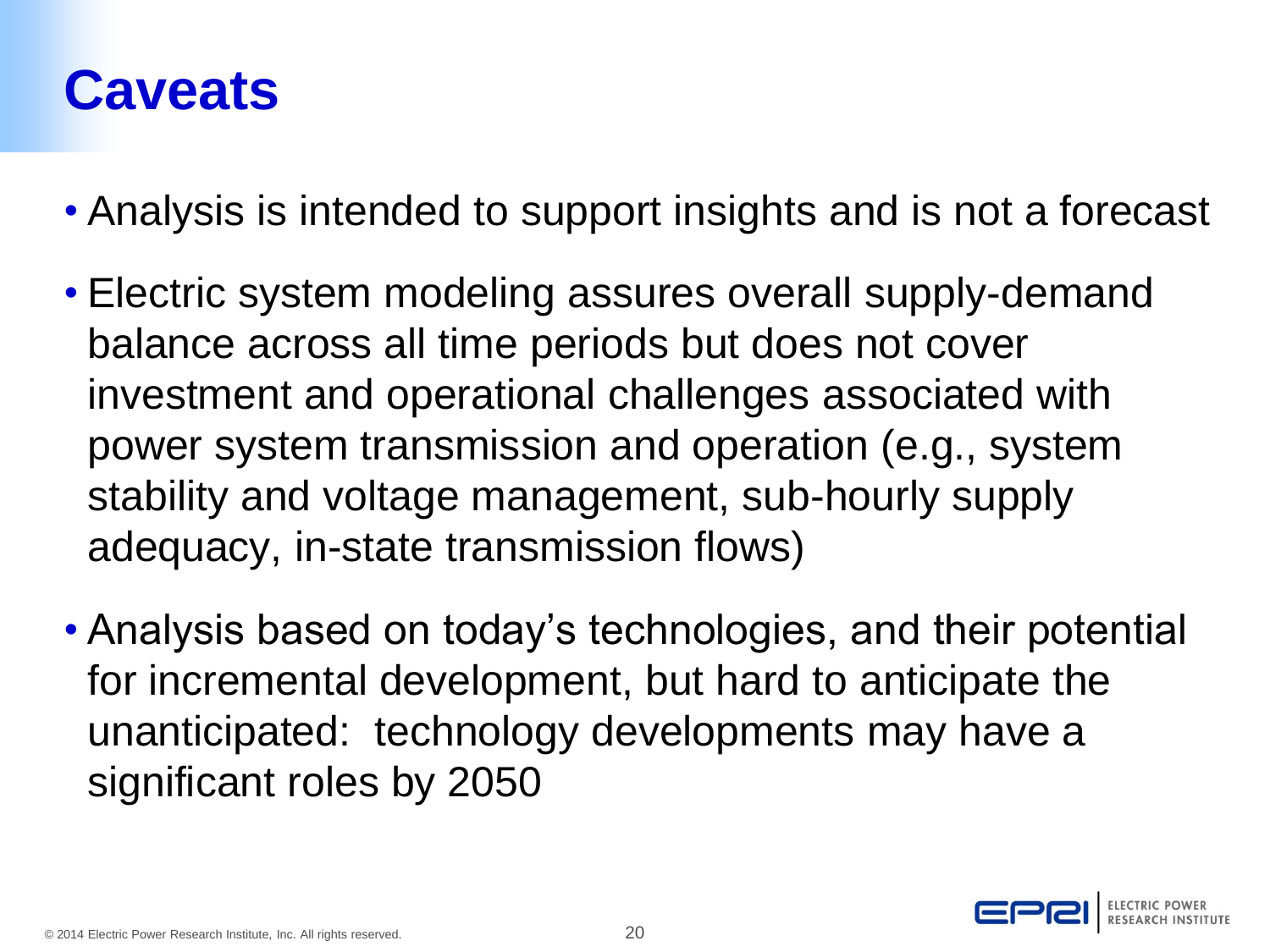### **Caveats**

- Analysis is intended to support insights and is not a forecast
- Electric system modeling assures overall supply-demand balance across all time periods but does not cover investment and operational challenges associated with power system transmission and operation (e.g., system stability and voltage management, sub-hourly supply adequacy, in-state transmission flows)
- Analysis based on today's technologies, and their potential for incremental development, but hard to anticipate the unanticipated: technology developments may have a significant roles by 2050

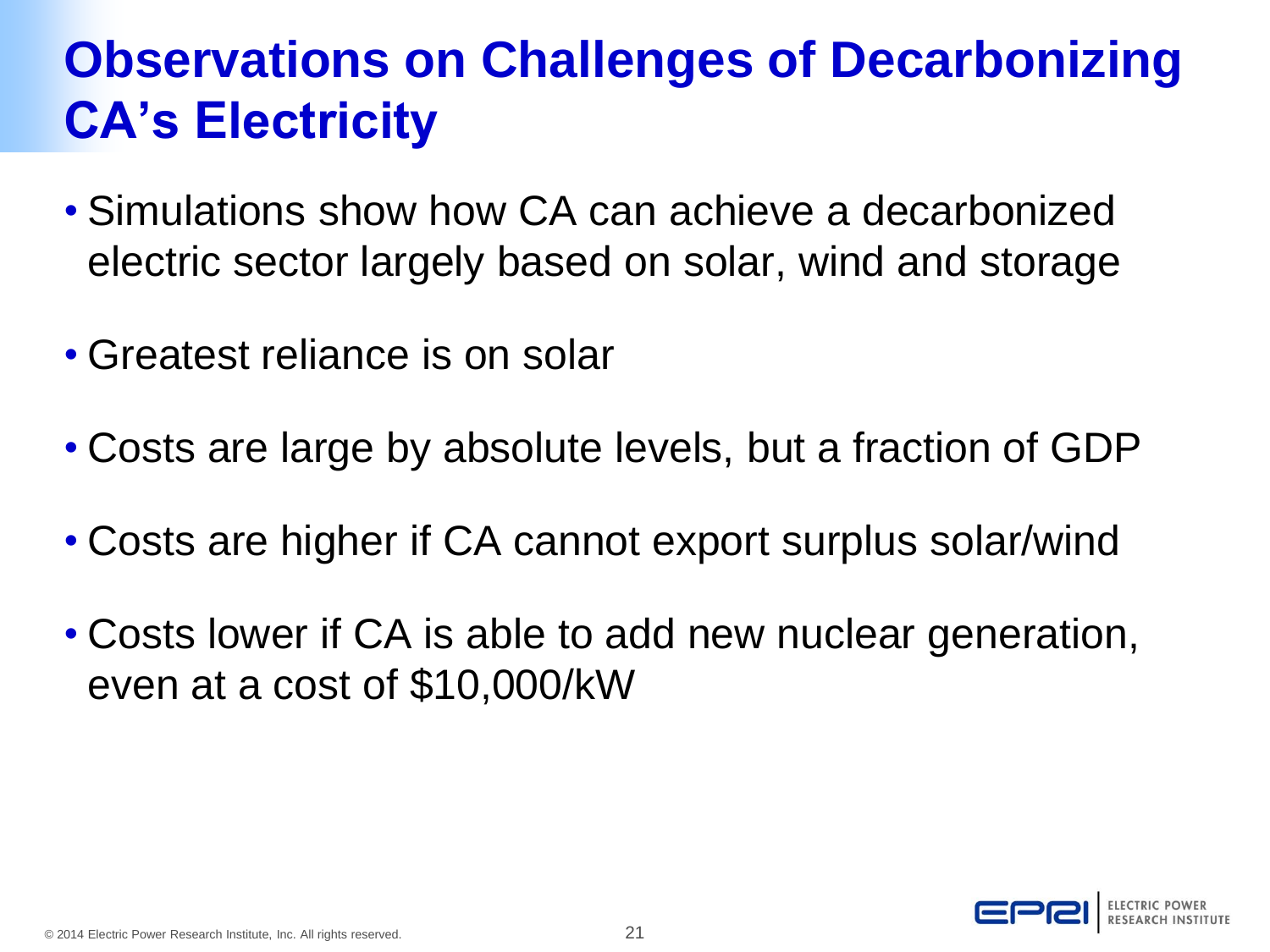### **Observations on Challenges of Decarbonizing CA's Electricity**

- Simulations show how CA can achieve a decarbonized electric sector largely based on solar, wind and storage
- Greatest reliance is on solar
- Costs are large by absolute levels, but a fraction of GDP
- Costs are higher if CA cannot export surplus solar/wind
- Costs lower if CA is able to add new nuclear generation, even at a cost of \$10,000/kW